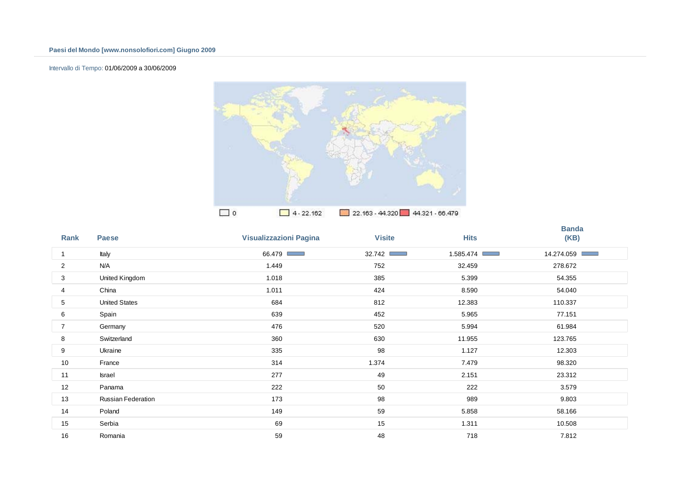## Intervallo di Tempo: 01/06/2009 a 30/06/2009



| Rank           | <b>Paese</b>              | <b>Visualizzazioni Pagina</b> | <b>Visite</b>            | <b>Hits</b>                  | <b>Banda</b><br>(KB) |
|----------------|---------------------------|-------------------------------|--------------------------|------------------------------|----------------------|
| 1              | Italy                     | 66.479                        | 32.742<br><b>COLLECT</b> | 1.585.474<br><b>Contract</b> | 14.274.059 ■         |
| 2              | N/A                       | 1.449                         | 752                      | 32.459                       | 278.672              |
| 3              | United Kingdom            | 1.018                         | 385                      | 5.399                        | 54.355               |
| 4              | China                     | 1.011                         | 424                      | 8.590                        | 54.040               |
| 5              | <b>United States</b>      | 684                           | 812                      | 12.383                       | 110.337              |
| 6              | Spain                     | 639                           | 452                      | 5.965                        | 77.151               |
| $\overline{7}$ | Germany                   | 476                           | 520                      | 5.994                        | 61.984               |
| 8              | Switzerland               | 360                           | 630                      | 11.955                       | 123.765              |
| 9              | Ukraine                   | 335                           | 98                       | 1.127                        | 12.303               |
| 10             | France                    | 314                           | 1.374                    | 7.479                        | 98.320               |
| 11             | Israel                    | 277                           | 49                       | 2.151                        | 23.312               |
| 12             | Panama                    | 222                           | 50                       | 222                          | 3.579                |
| 13             | <b>Russian Federation</b> | 173                           | 98                       | 989                          | 9.803                |
| 14             | Poland                    | 149                           | 59                       | 5.858                        | 58.166               |
| 15             | Serbia                    | 69                            | 15                       | 1.311                        | 10.508               |
| 16             | Romania                   | 59                            | 48                       | 718                          | 7812                 |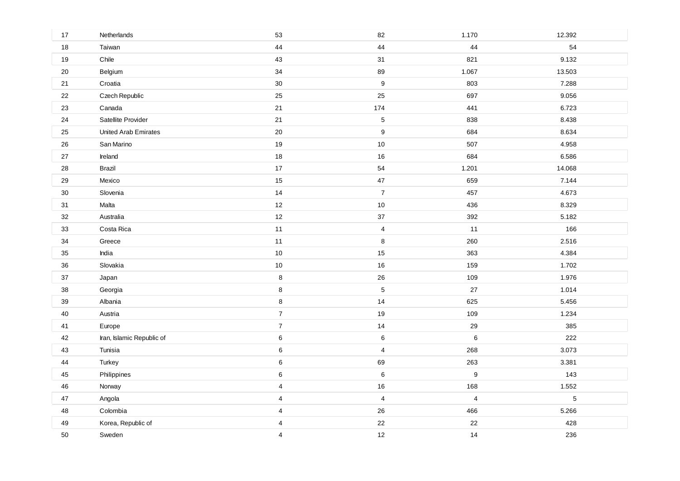| 17 | Netherlands                 | 53               | 82                      | 1.170            | 12.392 |
|----|-----------------------------|------------------|-------------------------|------------------|--------|
| 18 | Taiwan                      | 44               | 44                      | 44               | 54     |
| 19 | Chile                       | 43               | 31                      | 821              | 9.132  |
| 20 | Belgium                     | 34               | 89                      | 1.067            | 13.503 |
| 21 | Croatia                     | 30               | $\boldsymbol{9}$        | 803              | 7.288  |
| 22 | Czech Republic              | 25               | 25                      | 697              | 9.056  |
| 23 | Canada                      | 21               | 174                     | 441              | 6.723  |
| 24 | Satellite Provider          | 21               | 5                       | 838              | 8.438  |
| 25 | <b>United Arab Emirates</b> | 20               | $\boldsymbol{9}$        | 684              | 8.634  |
| 26 | San Marino                  | 19               | $10$                    | 507              | 4.958  |
| 27 | Ireland                     | 18               | 16                      | 684              | 6.586  |
| 28 | Brazil                      | 17               | 54                      | 1.201            | 14.068 |
| 29 | Mexico                      | 15               | 47                      | 659              | 7.144  |
| 30 | Slovenia                    | 14               | $\boldsymbol{7}$        | 457              | 4.673  |
| 31 | Malta                       | 12               | $10$                    | 436              | 8.329  |
| 32 | Australia                   | 12               | 37                      | 392              | 5.182  |
| 33 | Costa Rica                  | $11$             | 4                       | 11               | 166    |
| 34 | Greece                      | 11               | 8                       | 260              | 2.516  |
| 35 | India                       | $10$             | 15                      | 363              | 4.384  |
| 36 | Slovakia                    | $10$             | $16\,$                  | 159              | 1.702  |
| 37 | Japan                       | $\bf8$           | 26                      | 109              | 1.976  |
| 38 | Georgia                     | $\bf 8$          | $\sqrt{5}$              | 27               | 1.014  |
| 39 | Albania                     | $\bf 8$          | 14                      | 625              | 5.456  |
| 40 | Austria                     | $\overline{7}$   | 19                      | 109              | 1.234  |
| 41 | Europe                      | $\boldsymbol{7}$ | 14                      | 29               | 385    |
| 42 | Iran, Islamic Republic of   | $\,6\,$          | 6                       | 6                | 222    |
| 43 | Tunisia                     | $\,6$            | 4                       | 268              | 3.073  |
| 44 | Turkey                      | $\,6$            | 69                      | 263              | 3.381  |
| 45 | Philippines                 | $\,6$            | $\,6\,$                 | $\boldsymbol{9}$ | 143    |
| 46 | Norway                      | 4                | $16\,$                  | 168              | 1.552  |
| 47 | Angola                      | $\overline{4}$   | $\overline{\mathbf{4}}$ | $\overline{4}$   | 5      |
| 48 | Colombia                    | 4                | 26                      | 466              | 5.266  |
| 49 | Korea, Republic of          | 4                | 22                      | 22               | 428    |
| 50 | Sweden                      | $\overline{4}$   | 12                      | 14               | 236    |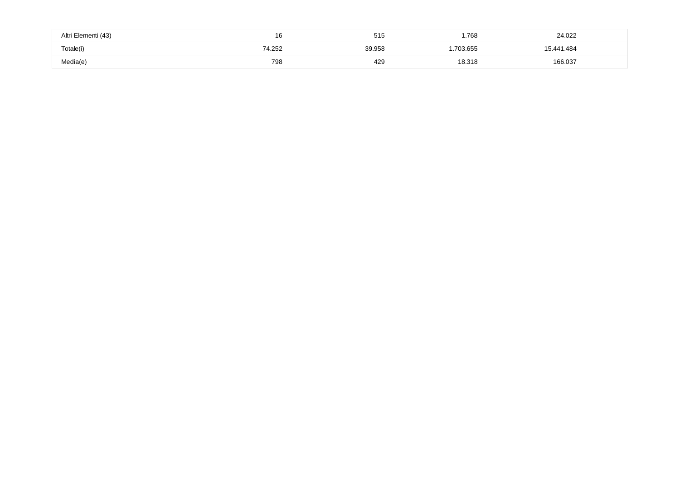| Altri Elementi (43) | 16     | 515    | 1.768    | 24.022     |  |
|---------------------|--------|--------|----------|------------|--|
| Totale(i)           | '4.252 | 39.958 | .703.655 | 15.441.484 |  |
| Media(e)            | 798    | 429    | 18.318   | 166.037    |  |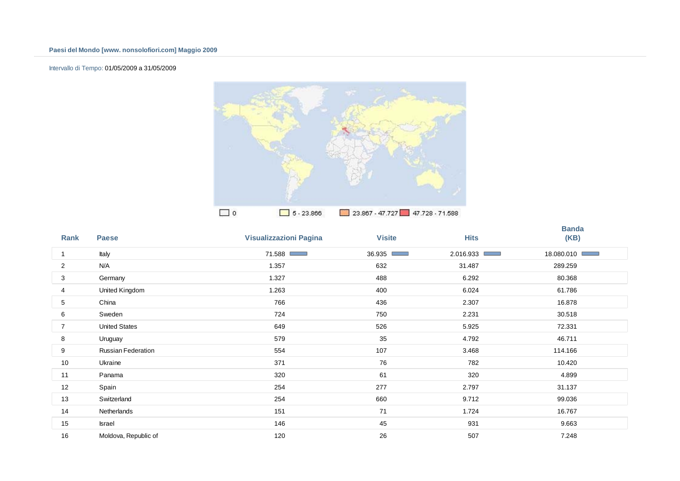## Intervallo di Tempo: 01/05/2009 a 31/05/2009



| Rank | <b>Paese</b>         | <b>Visualizzazioni Pagina</b> | <b>Visite</b>            | <b>Hits</b>          | <b>Banda</b><br>(KB) |
|------|----------------------|-------------------------------|--------------------------|----------------------|----------------------|
| 1    | Italy                | 71.588<br>a ang pag           | 36.935<br><b>COLLECT</b> | 2.016.933<br>and the | 18.080.010           |
| 2    | N/A                  | 1.357                         | 632                      | 31.487               | 289.259              |
| 3    | Germany              | 1.327                         | 488                      | 6.292                | 80.368               |
| 4    | United Kingdom       | 1.263                         | 400                      | 6.024                | 61.786               |
| 5    | China                | 766                           | 436                      | 2.307                | 16.878               |
| 6    | Sweden               | 724                           | 750                      | 2.231                | 30.518               |
| 7    | <b>United States</b> | 649                           | 526                      | 5.925                | 72.331               |
| 8    | Uruguay              | 579                           | 35                       | 4.792                | 46.711               |
| 9    | Russian Federation   | 554                           | 107                      | 3.468                | 114.166              |
| 10   | Ukraine              | 371                           | 76                       | 782                  | 10.420               |
| 11   | Panama               | 320                           | 61                       | 320                  | 4.899                |
| 12   | Spain                | 254                           | 277                      | 2.797                | 31.137               |
| 13   | Switzerland          | 254                           | 660                      | 9.712                | 99.036               |
| 14   | Netherlands          | 151                           | 71                       | 1.724                | 16.767               |
| 15   | Israel               | 146                           | 45                       | 931                  | 9.663                |
| 16   | Moldova, Republic of | 120                           | 26                       | 507                  | 7.248                |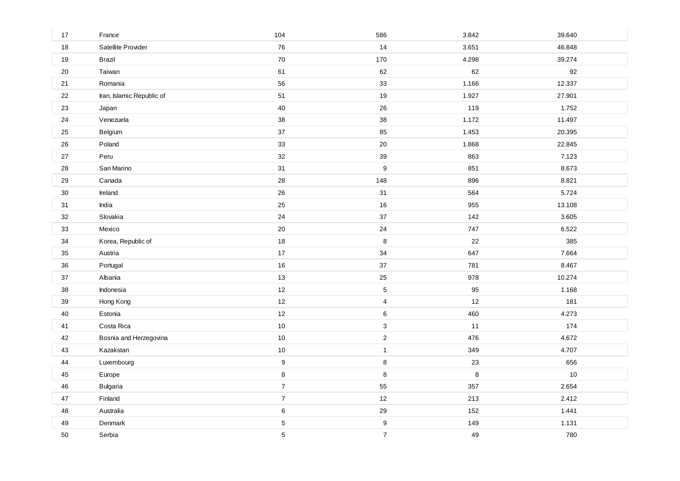| 17     | France                    | 104              | 586              | 3.842   | 39.640 |
|--------|---------------------------|------------------|------------------|---------|--------|
| 18     | Satellite Provider        | 76               | 14               | 3.651   | 46.848 |
| $19$   | Brazil                    | $70\,$           | 170              | 4.298   | 39.274 |
| 20     | Taiwan                    | 61               | 62               | 62      | 92     |
| 21     | Romania                   | 56               | 33               | 1.166   | 12.337 |
| 22     | Iran, Islamic Republic of | 51               | 19               | 1.927   | 27.901 |
| 23     | Japan                     | 40               | 26               | 119     | 1.752  |
| 24     | Venezuela                 | 38               | 38               | 1.172   | 11.497 |
| 25     | Belgium                   | 37               | 85               | 1.453   | 20.395 |
| 26     | Poland                    | 33               | 20               | 1.868   | 22.845 |
| 27     | Peru                      | 32               | 39               | 863     | 7.123  |
| 28     | San Marino                | 31               | $\boldsymbol{9}$ | 851     | 8.673  |
| 29     | Canada                    | 28               | 148              | 896     | 8.821  |
| $30\,$ | Ireland                   | 26               | 31               | 564     | 5.724  |
| 31     | India                     | 25               | 16               | 955     | 13.108 |
| 32     | Slovakia                  | 24               | 37               | 142     | 3.605  |
| 33     | Mexico                    | 20               | 24               | 747     | 6.522  |
| 34     | Korea, Republic of        | 18               | $\, 8$           | 22      | 385    |
| 35     | Austria                   | 17               | 34               | 647     | 7.664  |
| 36     | Portugal                  | 16               | 37               | 781     | 8.467  |
| 37     | Albania                   | 13               | 25               | 978     | 10.274 |
| 38     | Indonesia                 | $12$             | $\mathbf 5$      | 95      | 1.168  |
| 39     | Hong Kong                 | 12               | $\overline{4}$   | 12      | 181    |
| 40     | Estonia                   | 12               | 6                | 460     | 4.273  |
| 41     | Costa Rica                | $10$             | 3                | 11      | 174    |
| 42     | Bosnia and Herzegovina    | $10$             | $\overline{c}$   | 476     | 4.672  |
| 43     | Kazakstan                 | 10               | $\mathbf{1}$     | 349     | 4.707  |
| 44     | Luxembourg                | $\boldsymbol{9}$ | 8                | 23      | 656    |
| 45     | Europe                    | $\bf 8$          | 8                | $\bf 8$ | $10$   |
| 46     | Bulgaria                  | $\boldsymbol{7}$ | 55               | 357     | 2.654  |
| 47     | Finland                   | $\boldsymbol{7}$ | 12               | 213     | 2.412  |
| 48     | Australia                 | $\,6\,$          | 29               | 152     | 1.441  |
| 49     | Denmark                   | $\sqrt{5}$       | $\boldsymbol{9}$ | 149     | 1.131  |
| 50     | Serbia                    | 5                | $\overline{7}$   | 49      | 780    |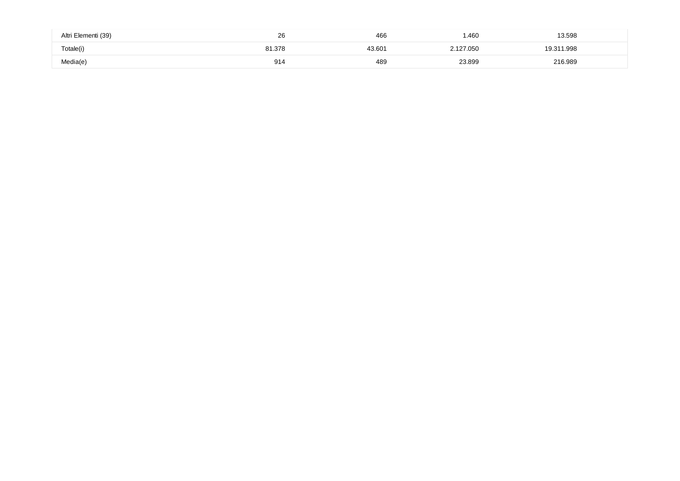| Altri Elementi (39) | oc<br>∠o<br>$\sim$ | 466    | 1.460  | 13.598     |  |
|---------------------|--------------------|--------|--------|------------|--|
| Totale(i)           | 81.378             | 43.601 |        | 19.311.998 |  |
| Media(e)            | 914                | 489    | 23.899 | 216.989    |  |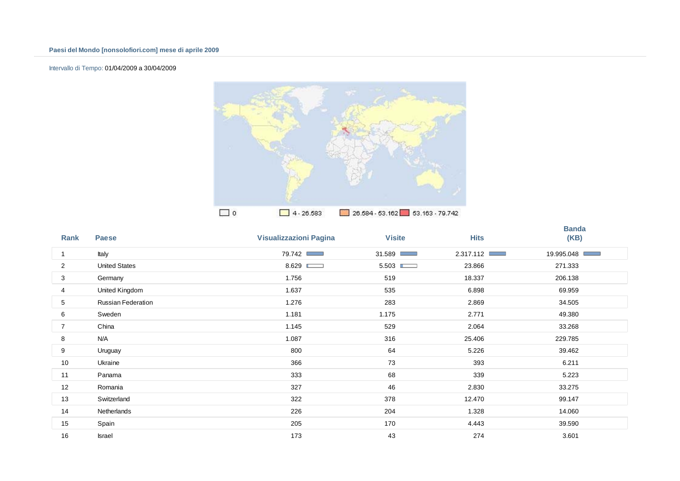## Intervallo di Tempo: 01/04/2009 a 30/04/2009



| Rank           | <b>Paese</b>         | <b>Visualizzazioni Pagina</b> | <b>Visite</b> | <b>Hits</b> | <b>Banda</b><br>(KB) |
|----------------|----------------------|-------------------------------|---------------|-------------|----------------------|
| -1             | Italy                | 79.742                        | 31.589        | 2.317.112   | 19.995.048           |
| $\overline{c}$ | <b>United States</b> | 8.629                         | 5.503         | 23.866      | 271.333              |
| 3              | Germany              | 1.756                         | 519           | 18.337      | 206.138              |
| 4              | United Kingdom       | 1.637                         | 535           | 6.898       | 69.959               |
| 5              | Russian Federation   | 1.276                         | 283           | 2.869       | 34.505               |
| 6              | Sweden               | 1.181                         | 1.175         | 2.771       | 49.380               |
| $\overline{7}$ | China                | 1.145                         | 529           | 2.064       | 33.268               |
| 8              | N/A                  | 1.087                         | 316           | 25.406      | 229.785              |
| 9              | Uruguay              | 800                           | 64            | 5.226       | 39.462               |
| 10             | Ukraine              | 366                           | 73            | 393         | 6.211                |
| 11             | Panama               | 333                           | 68            | 339         | 5.223                |
| 12             | Romania              | 327                           | 46            | 2.830       | 33.275               |
| 13             | Switzerland          | 322                           | 378           | 12.470      | 99.147               |
| 14             | Netherlands          | 226                           | 204           | 1.328       | 14.060               |
| 15             | Spain                | 205                           | 170           | 4.443       | 39.590               |
| 16             | <b>Israel</b>        | 173                           | 43            | 274         | 3601                 |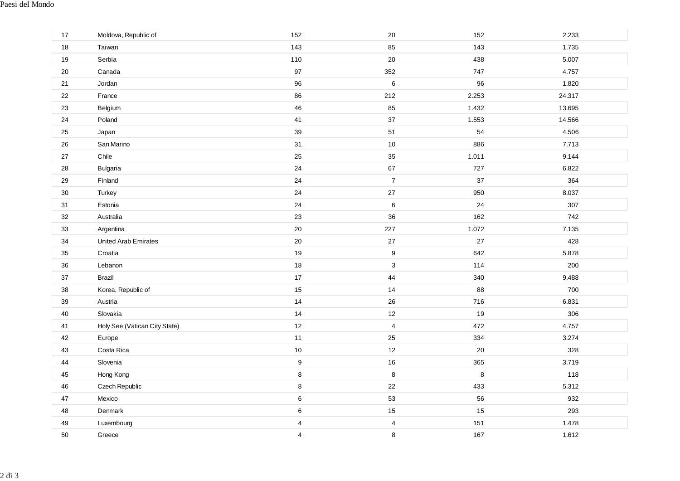| 17     | Moldova, Republic of          | 152                     | 20                      | 152     | 2.233  |
|--------|-------------------------------|-------------------------|-------------------------|---------|--------|
| 18     | Taiwan                        | 143                     | 85                      | 143     | 1.735  |
| 19     | Serbia                        | 110                     | 20                      | 438     | 5.007  |
| $20\,$ | Canada                        | 97                      | 352                     | 747     | 4.757  |
| 21     | Jordan                        | 96                      | $\,6\,$                 | 96      | 1.820  |
| 22     | France                        | 86                      | 212                     | 2.253   | 24.317 |
| 23     | Belgium                       | 46                      | 85                      | 1.432   | 13.695 |
| 24     | Poland                        | 41                      | $37\,$                  | 1.553   | 14.566 |
| 25     | Japan                         | 39                      | 51                      | 54      | 4.506  |
| 26     | San Marino                    | 31                      | $10$                    | 886     | 7.713  |
| 27     | Chile                         | 25                      | $35\,$                  | 1.011   | 9.144  |
| 28     | Bulgaria                      | 24                      | 67                      | 727     | 6.822  |
| 29     | Finland                       | 24                      | $\overline{7}$          | 37      | 364    |
| 30     | Turkey                        | 24                      | 27                      | 950     | 8.037  |
| 31     | Estonia                       | 24                      | $\,6\,$                 | 24      | 307    |
| 32     | Australia                     | 23                      | 36                      | 162     | 742    |
| 33     | Argentina                     | 20                      | 227                     | 1.072   | 7.135  |
| 34     | United Arab Emirates          | 20                      | 27                      | 27      | 428    |
| 35     | Croatia                       | 19                      | $\boldsymbol{9}$        | 642     | 5.878  |
| 36     | Lebanon                       | 18                      | $\mathsf 3$             | 114     | 200    |
| 37     | <b>Brazil</b>                 | 17                      | 44                      | 340     | 9.488  |
| 38     | Korea, Republic of            | 15                      | 14                      | 88      | 700    |
| 39     | Austria                       | 14                      | 26                      | 716     | 6.831  |
| 40     | Slovakia                      | 14                      | 12                      | 19      | 306    |
| 41     | Holy See (Vatican City State) | 12                      | $\overline{\mathbf{4}}$ | 472     | 4.757  |
| 42     | Europe                        | 11                      | 25                      | 334     | 3.274  |
| 43     | Costa Rica                    | 10                      | 12                      | 20      | 328    |
| 44     | Slovenia                      | $\boldsymbol{9}$        | 16                      | 365     | 3.719  |
| 45     | Hong Kong                     | $\bf 8$                 | $\,8\,$                 | $\,8\,$ | 118    |
| 46     | Czech Republic                | $\bf 8$                 | 22                      | 433     | 5.312  |
| 47     | Mexico                        | $\,6\,$                 | 53                      | 56      | 932    |
| 48     | Denmark                       | $\,6\,$                 | 15                      | 15      | 293    |
| 49     | Luxembourg                    | $\overline{\mathbf{4}}$ | $\overline{\mathbf{4}}$ | 151     | 1.478  |
| 50     | Greece                        | $\overline{4}$          | 8                       | 167     | 1.612  |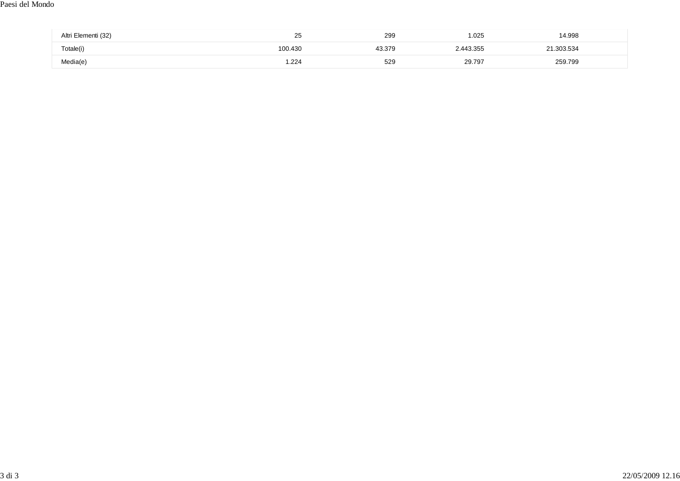### Paesi del Mondo

| Altri Elementi (32) | $\sim$ $\sim$<br>25 | 299<br>$ -$ | 1.025     | 14.998   |  |
|---------------------|---------------------|-------------|-----------|----------|--|
| Totale(i)           | 100.430             | 43.379      | 2.443.355 | .303.534 |  |
| Media(e)            | .224                | 529         | 29.797    | 259.799  |  |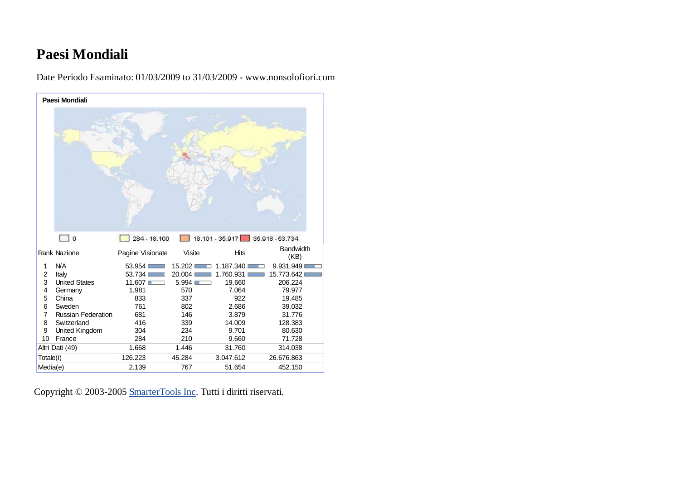# **Paesi Mondiali**

**Paesi Mondiali**  $\Box$ o  $284 - 18.100$ 18.101 - 35.917 35.918 - 53.734 Rank Nazione **Pagine Visionate** Visite Hits Bandwidth 1 N/A 53.954 15.202 1.187.340 9.931.949 2 Italy 53.734 20.004 1.760.931 15.773.642 3 United States 11.607 5.994 19.660 206.224 4 Germany 1.981 570 7.064 79.977<br>5 China 833 337 922 19.485 19.485 5 China 833 337 922 19.4856 Sweden 761 802 2.686 39.032 7 Russian Federation 681 146 3.879 31.776 8 Switzerland 416 339 14.009 128.383 9 United Kingdom 304 234 9.701 80.630 10 France 284 210 9.660 71.728 Altri Dati (49) 1.668 1.446 31.760 314.038 Totale(i) 126.223 45.284 3.047.612 26.676.863 Media(e) 2.139 767 51.654 452.150

Date Periodo Esaminato: 01/03/2009 to 31/03/2009 - www.nonsolofiori.com

Copyright © 2003-2005 SmarterTools Inc. Tutti i diritti riservati.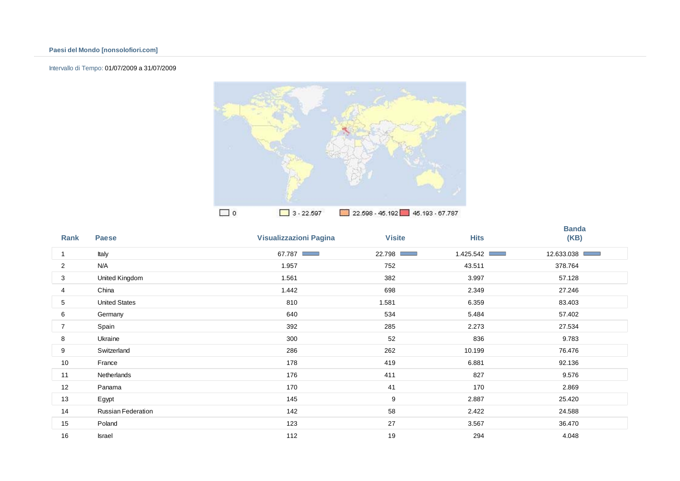## Intervallo di Tempo: 01/07/2009 a 31/07/2009



| Rank           | <b>Paese</b>         | <b>Visualizzazioni Pagina</b> | <b>Visite</b> | <b>Hits</b>                  | <b>Banda</b><br>(KB) |
|----------------|----------------------|-------------------------------|---------------|------------------------------|----------------------|
| 1              | Italy                | 67.787                        | 22.798 □      | 1.425.542<br><b>Contract</b> | 12.633.038           |
| $\overline{c}$ | N/A                  | 1.957                         | 752           | 43.511                       | 378.764              |
| 3              | United Kingdom       | 1.561                         | 382           | 3.997                        | 57.128               |
| 4              | China                | 1.442                         | 698           | 2.349                        | 27.246               |
| 5              | <b>United States</b> | 810                           | 1.581         | 6.359                        | 83.403               |
| 6              | Germany              | 640                           | 534           | 5.484                        | 57.402               |
| $\overline{7}$ | Spain                | 392                           | 285           | 2.273                        | 27.534               |
| 8              | Ukraine              | 300                           | 52            | 836                          | 9.783                |
| 9              | Switzerland          | 286                           | 262           | 10.199                       | 76.476               |
| 10             | France               | 178                           | 419           | 6.881                        | 92.136               |
| 11             | Netherlands          | 176                           | 411           | 827                          | 9.576                |
| 12             | Panama               | 170                           | 41            | 170                          | 2.869                |
| 13             | Egypt                | 145                           | 9             | 2.887                        | 25.420               |
| 14             | Russian Federation   | 142                           | 58            | 2.422                        | 24.588               |
| 15             | Poland               | 123                           | 27            | 3.567                        | 36.470               |
| 16             | <b>Israel</b>        | 112                           | 19            | 294                          | 4.048                |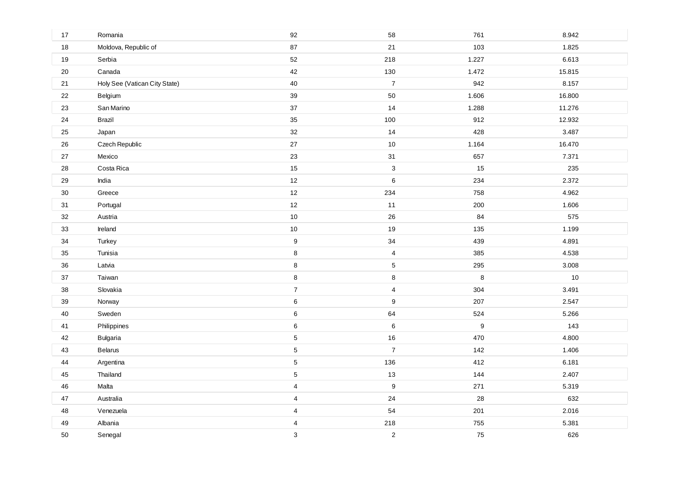| $17$   | Romania                       | 92               | 58                        | 761     | 8.942  |
|--------|-------------------------------|------------------|---------------------------|---------|--------|
| 18     | Moldova, Republic of          | 87               | 21                        | 103     | 1.825  |
| 19     | Serbia                        | 52               | 218                       | 1.227   | 6.613  |
| $20\,$ | Canada                        | 42               | 130                       | 1.472   | 15.815 |
| 21     | Holy See (Vatican City State) | 40               | $\boldsymbol{7}$          | 942     | 8.157  |
| 22     | Belgium                       | 39               | 50                        | 1.606   | 16.800 |
| 23     | San Marino                    | 37               | 14                        | 1.288   | 11.276 |
| 24     | <b>Brazil</b>                 | 35               | 100                       | 912     | 12.932 |
| $25\,$ | Japan                         | 32               | 14                        | 428     | 3.487  |
| 26     | Czech Republic                | 27               | $10$                      | 1.164   | 16.470 |
| 27     | Mexico                        | 23               | 31                        | 657     | 7.371  |
| 28     | Costa Rica                    | 15               | $\ensuremath{\mathsf{3}}$ | 15      | 235    |
| 29     | India                         | 12               | $\,6$                     | 234     | 2.372  |
| 30     | Greece                        | 12               | 234                       | 758     | 4.962  |
| 31     | Portugal                      | $12$             | 11                        | 200     | 1.606  |
| 32     | Austria                       | 10               | 26                        | 84      | 575    |
| 33     | Ireland                       | $10$             | 19                        | 135     | 1.199  |
| 34     | Turkey                        | $\boldsymbol{9}$ | 34                        | 439     | 4.891  |
| $35\,$ | Tunisia                       | $\bf 8$          | $\overline{\mathbf{4}}$   | 385     | 4.538  |
| 36     | Latvia                        | $\bf 8$          | $\,$ 5 $\,$               | 295     | 3.008  |
| $37\,$ | Taiwan                        | $\bf 8$          | 8                         | $\bf 8$ | $10$   |
| 38     | Slovakia                      | $\overline{7}$   | 4                         | 304     | 3.491  |
| 39     | Norway                        | $\,6\,$          | $\boldsymbol{9}$          | 207     | 2.547  |
| 40     | Sweden                        | $\,6\,$          | 64                        | 524     | 5.266  |
| 41     | Philippines                   | $\,6\,$          | 6                         | 9       | 143    |
| 42     | <b>Bulgaria</b>               | $\sqrt{5}$       | 16                        | 470     | 4.800  |
| $43\,$ | Belarus                       | $\sqrt{5}$       | $\overline{7}$            | 142     | 1.406  |
| 44     | Argentina                     | $\sqrt{5}$       | 136                       | 412     | 6.181  |
| 45     | Thailand                      | $\sqrt{5}$       | 13                        | 144     | 2.407  |
| 46     | Malta                         | $\sqrt{4}$       | $\boldsymbol{9}$          | 271     | 5.319  |
| 47     | Australia                     | $\overline{4}$   | 24                        | 28      | 632    |
| 48     | Venezuela                     | 4                | 54                        | 201     | 2.016  |
| 49     | Albania                       | $\overline{4}$   | 218                       | 755     | 5.381  |
| 50     | Senegal                       | $\mathbf{3}$     | $\overline{c}$            | 75      | 626    |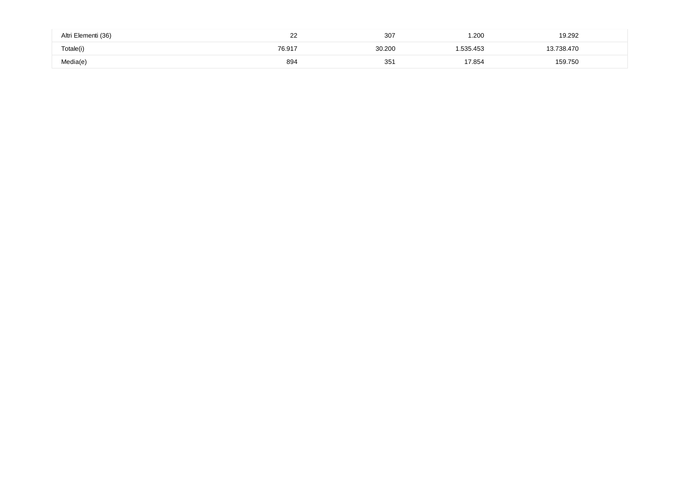| Altri Elementi (36) | $\sim$<br>-- | $\sim$ $\sim$ $-$<br>307 | .200     | 19.292             |  |
|---------------------|--------------|--------------------------|----------|--------------------|--|
| Totale(i)           | 76.917       | 30.200                   | .535.453 | 700<br>170<br>30.4 |  |
| Media(e)            | 894          | 35                       | 7.854    | 159.750            |  |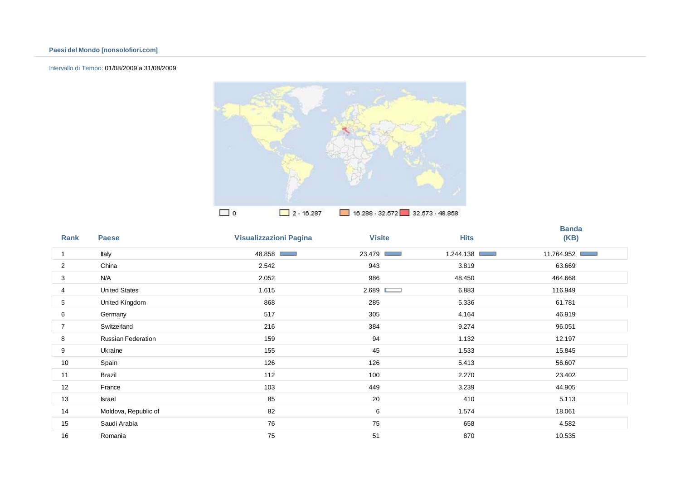## Intervallo di Tempo: 01/08/2009 a 31/08/2009



| Rank           | <b>Paese</b>              | <b>Visualizzazioni Pagina</b> | <b>Visite</b> | <b>Hits</b> | <b>Banda</b><br>(KB) |
|----------------|---------------------------|-------------------------------|---------------|-------------|----------------------|
| 1              | Italy                     | 48.858 ■                      | 23.479        | 1.244.138   | 11.764.952 ■         |
| 2              | China                     | 2.542                         | 943           | 3.819       | 63.669               |
| 3              | N/A                       | 2.052                         | 986           | 48.450      | 464.668              |
| 4              | <b>United States</b>      | 1.615                         | 2.689         | 6.883       | 116.949              |
| 5              | United Kingdom            | 868                           | 285           | 5.336       | 61.781               |
| 6              | Germany                   | 517                           | 305           | 4.164       | 46.919               |
| $\overline{7}$ | Switzerland               | 216                           | 384           | 9.274       | 96.051               |
| 8              | <b>Russian Federation</b> | 159                           | 94            | 1.132       | 12.197               |
| 9              | Ukraine                   | 155                           | 45            | 1.533       | 15.845               |
| 10             | Spain                     | 126                           | 126           | 5.413       | 56.607               |
| 11             | Brazil                    | 112                           | 100           | 2.270       | 23.402               |
| 12             | France                    | 103                           | 449           | 3.239       | 44.905               |
| 13             | Israel                    | 85                            | 20            | 410         | 5.113                |
| 14             | Moldova, Republic of      | 82                            | 6             | 1.574       | 18.061               |
| 15             | Saudi Arabia              | 76                            | 75            | 658         | 4.582                |
| 16             | Romania                   | 75                            | 51            | 870         | 10.535               |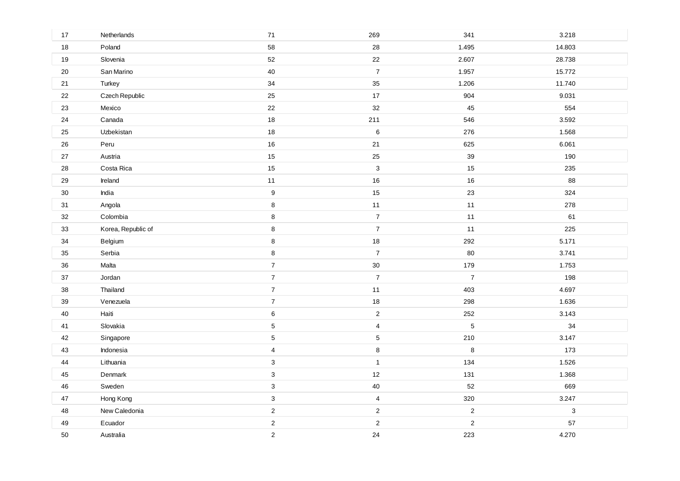| 17     | Netherlands        | $71$             | 269              | 341            | 3.218        |
|--------|--------------------|------------------|------------------|----------------|--------------|
| 18     | Poland             | 58               | 28               | 1.495          | 14.803       |
| $19$   | Slovenia           | 52               | 22               | 2.607          | 28.738       |
| 20     | San Marino         | 40               | $\boldsymbol{7}$ | 1.957          | 15.772       |
| 21     | Turkey             | 34               | 35               | 1.206          | 11.740       |
| 22     | Czech Republic     | 25               | 17               | 904            | 9.031        |
| 23     | Mexico             | 22               | 32               | 45             | 554          |
| 24     | Canada             | 18               | 211              | 546            | 3.592        |
| 25     | Uzbekistan         | 18               | $\,6$            | 276            | 1.568        |
| 26     | Peru               | 16               | $21$             | 625            | 6.061        |
| 27     | Austria            | 15               | 25               | 39             | 190          |
| 28     | Costa Rica         | 15               | $\mathbf{3}$     | 15             | 235          |
| 29     | Ireland            | 11               | 16               | 16             | 88           |
| $30\,$ | India              | $\boldsymbol{9}$ | 15               | 23             | 324          |
| 31     | Angola             | 8                | $11$             | 11             | 278          |
| 32     | Colombia           | 8                | $\boldsymbol{7}$ | 11             | 61           |
| 33     | Korea, Republic of | 8                | $\overline{7}$   | $11$           | 225          |
| 34     | Belgium            | 8                | 18               | 292            | 5.171        |
| 35     | Serbia             | 8                | $\boldsymbol{7}$ | 80             | 3.741        |
| 36     | Malta              | $\overline{7}$   | $30\,$           | 179            | 1.753        |
| 37     | Jordan             | $\overline{7}$   | $\overline{7}$   | $\overline{7}$ | 198          |
| $38\,$ | Thailand           | $\overline{7}$   | 11               | 403            | 4.697        |
| 39     | Venezuela          | $\overline{7}$   | 18               | 298            | 1.636        |
| 40     | Haiti              | 6                | $\overline{2}$   | 252            | 3.143        |
| 41     | Slovakia           | $\mathbf 5$      | $\overline{4}$   | $\mathbf 5$    | 34           |
| 42     | Singapore          | $\overline{5}$   | $\sqrt{5}$       | 210            | 3.147        |
| 43     | Indonesia          | $\overline{4}$   | $\bf 8$          | $\,8\,$        | 173          |
| 44     | Lithuania          | $\mathbf{3}$     | $\mathbf{1}$     | 134            | 1.526        |
| 45     | Denmark            | $\mathbf{3}$     | 12               | 131            | 1.368        |
| 46     | Sweden             | $\mathbf{3}$     | 40               | 52             | 669          |
| 47     | Hong Kong          | $\mathbf{3}$     | $\overline{4}$   | 320            | 3.247        |
| 48     | New Caledonia      | $\overline{2}$   | $\overline{2}$   | $\sqrt{2}$     | $\mathbf{3}$ |
| 49     | Ecuador            | $\overline{2}$   | $\overline{c}$   | $\mathbf 2$    | 57           |
| 50     | Australia          | 2                | 24               | 223            | 4.270        |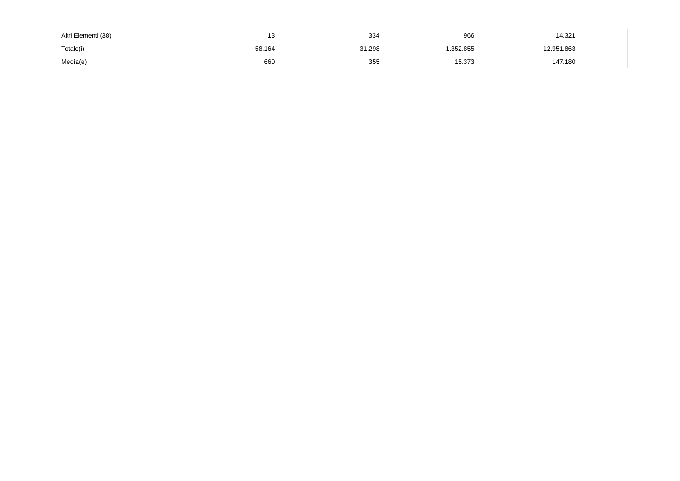| Altri Elementi (38) | 40<br>. ت | 334    | 966      | 4.321   |
|---------------------|-----------|--------|----------|---------|
| Totale(i)           | 58.164    | 31.298 | .352.855 | .863    |
| Media(e)            | 660       | -35t   | 5.373    | 147.180 |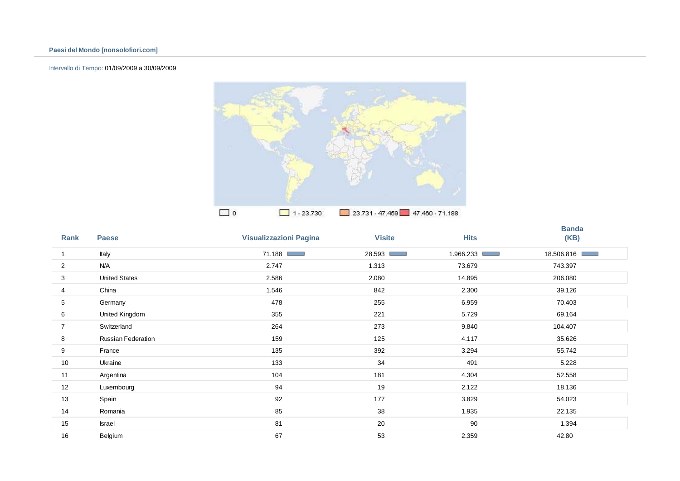## Intervallo di Tempo: 01/09/2009 a 30/09/2009



| Rank           | <b>Paese</b>         | <b>Visualizzazioni Pagina</b> | <b>Visite</b>             | <b>Hits</b> | <b>Banda</b><br>(KB) |
|----------------|----------------------|-------------------------------|---------------------------|-------------|----------------------|
| $\mathbf{1}$   | Italy                | 71.188                        | 28.593<br><b>Contract</b> | 1.966.233   | 18.506.816           |
| 2              | N/A                  | 2.747                         | 1.313                     | 73.679      | 743.397              |
| 3              | <b>United States</b> | 2.586                         | 2.080                     | 14.895      | 206.080              |
| 4              | China                | 1.546                         | 842                       | 2.300       | 39.126               |
| 5              | Germany              | 478                           | 255                       | 6.959       | 70.403               |
| 6              | United Kingdom       | 355                           | 221                       | 5.729       | 69.164               |
| $\overline{7}$ | Switzerland          | 264                           | 273                       | 9.840       | 104.407              |
| 8              | Russian Federation   | 159                           | 125                       | 4.117       | 35.626               |
| 9              | France               | 135                           | 392                       | 3.294       | 55.742               |
| 10             | Ukraine              | 133                           | 34                        | 491         | 5.228                |
| 11             | Argentina            | 104                           | 181                       | 4.304       | 52.558               |
| 12             | Luxembourg           | 94                            | 19                        | 2.122       | 18.136               |
| 13             | Spain                | 92                            | 177                       | 3.829       | 54.023               |
| 14             | Romania              | 85                            | 38                        | 1.935       | 22.135               |
| 15             | Israel               | 81                            | 20                        | 90          | 1.394                |
| 16             | Belgium              | 67                            | 53                        | 2.359       | 42.80                |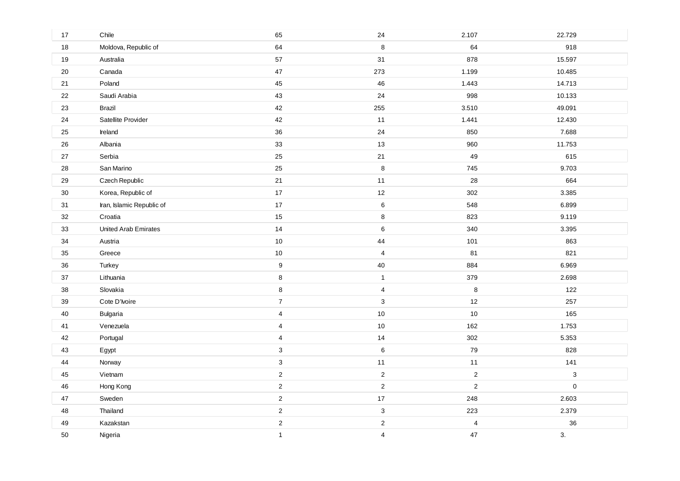| 17     | Chile                     | 65                      | 24             | 2.107          | 22.729       |
|--------|---------------------------|-------------------------|----------------|----------------|--------------|
| 18     | Moldova, Republic of      | 64                      | 8              | 64             | 918          |
| $19$   | Australia                 | 57                      | 31             | 878            | 15.597       |
| 20     | Canada                    | 47                      | 273            | 1.199          | 10.485       |
| 21     | Poland                    | 45                      | 46             | 1.443          | 14.713       |
| 22     | Saudi Arabia              | 43                      | 24             | 998            | 10.133       |
| 23     | <b>Brazil</b>             | 42                      | 255            | 3.510          | 49.091       |
| 24     | Satellite Provider        | 42                      | 11             | 1.441          | 12.430       |
| 25     | Ireland                   | 36                      | 24             | 850            | 7.688        |
| 26     | Albania                   | 33                      | 13             | 960            | 11.753       |
| $27\,$ | Serbia                    | 25                      | 21             | 49             | 615          |
| 28     | San Marino                | 25                      | $\bf 8$        | 745            | 9.703        |
| 29     | Czech Republic            | 21                      | 11             | 28             | 664          |
| $30\,$ | Korea, Republic of        | 17                      | 12             | 302            | 3.385        |
| 31     | Iran, Islamic Republic of | $17\,$                  | 6              | 548            | 6.899        |
| 32     | Croatia                   | 15                      | 8              | 823            | 9.119        |
| 33     | United Arab Emirates      | 14                      | 6              | 340            | 3.395        |
| 34     | Austria                   | $10$                    | 44             | 101            | 863          |
| 35     | Greece                    | $10$                    | $\overline{4}$ | 81             | 821          |
| 36     | Turkey                    | $\boldsymbol{9}$        | 40             | 884            | 6.969        |
| 37     | Lithuania                 | $\bf 8$                 | $\mathbf{1}$   | 379            | 2.698        |
| 38     | Slovakia                  | $\bf 8$                 | 4              | $\bf 8$        | 122          |
| 39     | Cote D'Ivoire             | $\overline{7}$          | $\mathbf{3}$   | 12             | 257          |
| 40     | <b>Bulgaria</b>           | $\overline{\mathbf{4}}$ | $10$           | 10             | 165          |
| 41     | Venezuela                 | $\overline{4}$          | $10$           | 162            | 1.753        |
| 42     | Portugal                  | $\overline{\mathbf{4}}$ | 14             | 302            | 5.353        |
| 43     | Egypt                     | 3                       | 6              | 79             | 828          |
| 44     | Norway                    | 3                       | 11             | 11             | 141          |
| 45     | Vietnam                   | $\overline{c}$          | $\mathbf 2$    | $\mathbf 2$    | $\mathbf{3}$ |
| 46     | Hong Kong                 | $\overline{c}$          | $\overline{c}$ | $\overline{c}$ | $\pmb{0}$    |
| 47     | Sweden                    | $\overline{\mathbf{c}}$ | $17$           | 248            | 2.603        |
| 48     | Thailand                  | $\overline{c}$          | 3              | 223            | 2.379        |
| 49     | Kazakstan                 | $\overline{c}$          | $\overline{c}$ | 4              | 36           |
| 50     | Nigeria                   | $\mathbf{1}$            | 4              | 47             | 3.           |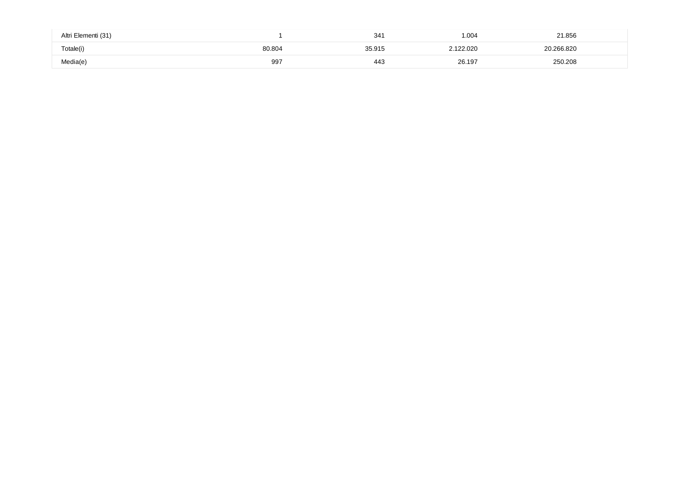| Altri Elementi (31) |        | 34 <sup>′</sup> | 1.004     | 21.856     |  |
|---------------------|--------|-----------------|-----------|------------|--|
| Totale(i)           | 80.804 | 35.915          | 2.122.020 | 20.266.820 |  |
| Media(e)            | 997    | 443             | 26.197    | 250.208    |  |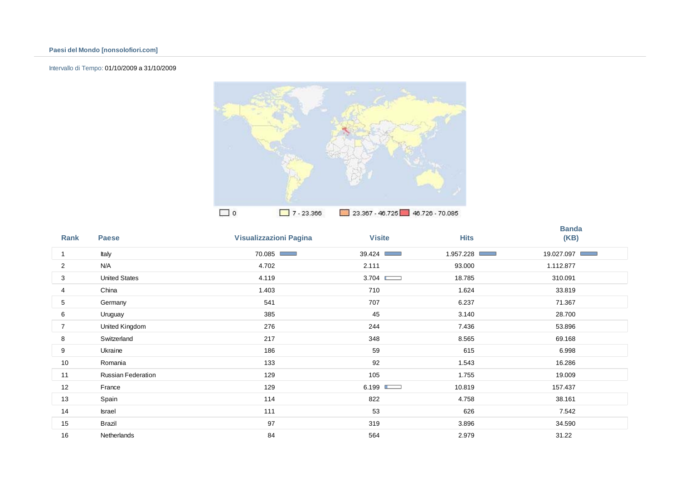## Intervallo di Tempo: 01/10/2009 a 31/10/2009



| Rank           | <b>Paese</b>         | <b>Visualizzazioni Pagina</b> | <b>Visite</b> | <b>Hits</b> | <b>Banda</b><br>(KB) |
|----------------|----------------------|-------------------------------|---------------|-------------|----------------------|
| 1              | Italy                | 70.085 ■                      | 39.424        | 1.957.228   | 19.027.097           |
| 2              | N/A                  | 4.702                         | 2.111         | 93.000      | 1.112.877            |
| 3              | <b>United States</b> | 4.119                         | 3.704         | 18.785      | 310.091              |
| 4              | China                | 1.403                         | 710           | 1.624       | 33.819               |
| 5              | Germany              | 541                           | 707           | 6.237       | 71.367               |
| 6              | Uruguay              | 385                           | 45            | 3.140       | 28.700               |
| $\overline{7}$ | United Kingdom       | 276                           | 244           | 7.436       | 53.896               |
| 8              | Switzerland          | 217                           | 348           | 8.565       | 69.168               |
| 9              | Ukraine              | 186                           | 59            | 615         | 6.998                |
| 10             | Romania              | 133                           | 92            | 1.543       | 16.286               |
| 11             | Russian Federation   | 129                           | 105           | 1.755       | 19.009               |
| 12             | France               | 129                           | 6.199         | 10.819      | 157.437              |
| 13             | Spain                | 114                           | 822           | 4.758       | 38.161               |
| 14             | Israel               | 111                           | 53            | 626         | 7.542                |
| 15             | Brazil               | 97                            | 319           | 3.896       | 34.590               |
| 16             | <b>Netherlands</b>   | 84                            | 564           | 2.979       | 31.22                |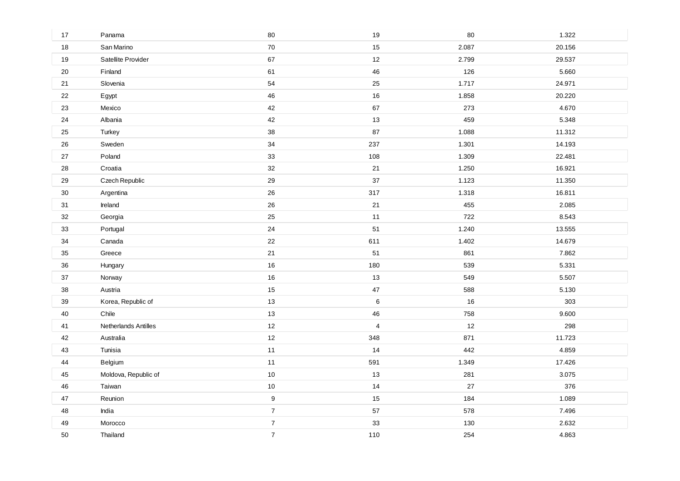| 17     | Panama               | 80               | 19                      | 80    | 1.322  |
|--------|----------------------|------------------|-------------------------|-------|--------|
| 18     | San Marino           | 70               | 15                      | 2.087 | 20.156 |
| $19$   | Satellite Provider   | 67               | 12                      | 2.799 | 29.537 |
| 20     | Finland              | 61               | 46                      | 126   | 5.660  |
| 21     | Slovenia             | 54               | 25                      | 1.717 | 24.971 |
| 22     | Egypt                | 46               | 16                      | 1.858 | 20.220 |
| 23     | Mexico               | 42               | 67                      | 273   | 4.670  |
| 24     | Albania              | 42               | 13                      | 459   | 5.348  |
| 25     | Turkey               | 38               | 87                      | 1.088 | 11.312 |
| 26     | Sweden               | 34               | 237                     | 1.301 | 14.193 |
| 27     | Poland               | 33               | 108                     | 1.309 | 22.481 |
| 28     | Croatia              | 32               | 21                      | 1.250 | 16.921 |
| 29     | Czech Republic       | 29               | 37                      | 1.123 | 11.350 |
| 30     | Argentina            | 26               | 317                     | 1.318 | 16.811 |
| 31     | Ireland              | 26               | 21                      | 455   | 2.085  |
| 32     | Georgia              | 25               | 11                      | 722   | 8.543  |
| 33     | Portugal             | 24               | 51                      | 1.240 | 13.555 |
| 34     | Canada               | 22               | 611                     | 1.402 | 14.679 |
| 35     | Greece               | 21               | 51                      | 861   | 7.862  |
| 36     | Hungary              | 16               | 180                     | 539   | 5.331  |
| $37\,$ | Norway               | 16               | 13                      | 549   | 5.507  |
| 38     | Austria              | 15               | $47\,$                  | 588   | 5.130  |
| 39     | Korea, Republic of   | 13               | $\,6\,$                 | 16    | 303    |
| 40     | Chile                | 13               | 46                      | 758   | 9.600  |
| 41     | Netherlands Antilles | 12               | $\overline{\mathbf{4}}$ | 12    | 298    |
| 42     | Australia            | 12               | 348                     | 871   | 11.723 |
| 43     | Tunisia              | 11               | 14                      | 442   | 4.859  |
| 44     | Belgium              | 11               | 591                     | 1.349 | 17.426 |
| 45     | Moldova, Republic of | 10               | 13                      | 281   | 3.075  |
| 46     | Taiwan               | 10               | 14                      | 27    | 376    |
| 47     | Reunion              | $\boldsymbol{9}$ | 15                      | 184   | 1.089  |
| 48     | India                | $\overline{7}$   | 57                      | 578   | 7.496  |
| 49     | Morocco              | $\overline{7}$   | 33                      | 130   | 2.632  |
| 50     | Thailand             | $\overline{7}$   | 110                     | 254   | 4.863  |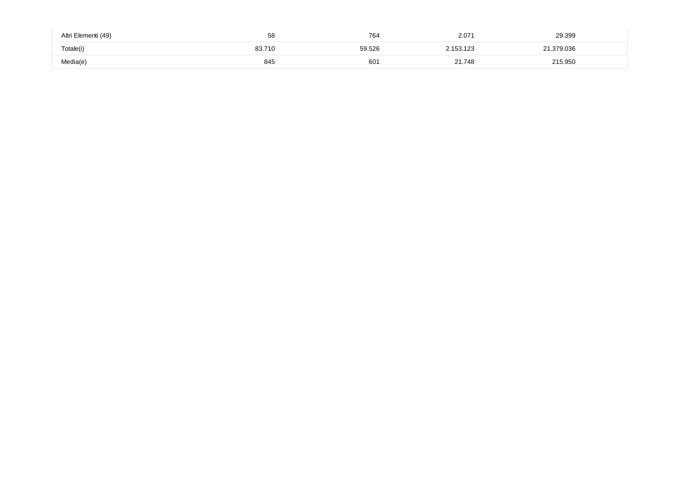| Altri Elementi (49) | 58     | 764    | 207<br>2.071 | 29.399   |
|---------------------|--------|--------|--------------|----------|
| Totale(i)           | 83.710 | 59.526 | .153.123     | .379.036 |
| Media(e)            | 845    | 601    | 21.748       | 215.950  |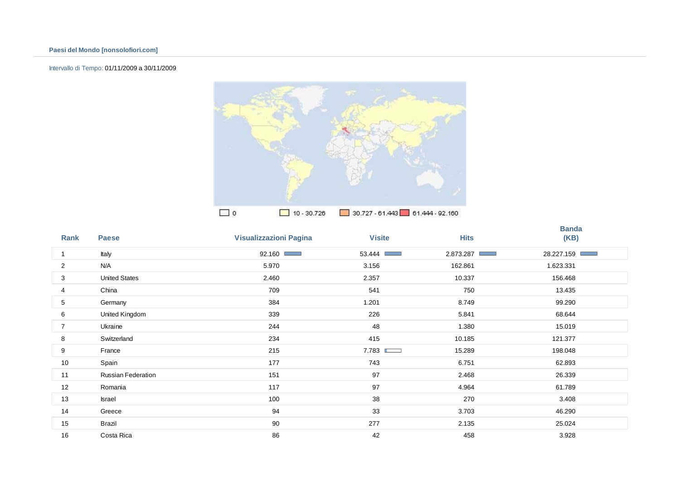## Intervallo di Tempo: 01/11/2009 a 30/11/2009



| Rank           | <b>Paese</b>         | <b>Visualizzazioni Pagina</b> | <b>Visite</b> | <b>Hits</b>               | <b>Banda</b><br>(KB) |
|----------------|----------------------|-------------------------------|---------------|---------------------------|----------------------|
| 1              | Italy                | 92.160                        | 53.444        | 2.873.287<br><b>STATE</b> | 28.227.159           |
| $\overline{2}$ | N/A                  | 5.970                         | 3.156         | 162.861                   | 1.623.331            |
| 3              | <b>United States</b> | 2.460                         | 2.357         | 10.337                    | 156.468              |
| 4              | China                | 709                           | 541           | 750                       | 13.435               |
| 5              | Germany              | 384                           | 1.201         | 8.749                     | 99.290               |
| 6              | United Kingdom       | 339                           | 226           | 5.841                     | 68.644               |
| 7              | Ukraine              | 244                           | 48            | 1.380                     | 15.019               |
| 8              | Switzerland          | 234                           | 415           | 10.185                    | 121.377              |
| 9              | France               | 215                           | 7.783         | 15.289                    | 198.048              |
| 10             | Spain                | 177                           | 743           | 6.751                     | 62.893               |
| 11             | Russian Federation   | 151                           | 97            | 2.468                     | 26.339               |
| 12             | Romania              | 117                           | 97            | 4.964                     | 61.789               |
| 13             | Israel               | 100                           | 38            | 270                       | 3.408                |
| 14             | Greece               | 94                            | 33            | 3.703                     | 46.290               |
| 15             | Brazil               | 90                            | 277           | 2.135                     | 25.024               |
| 16             | Costa Rica           | 86                            | 42            | 458                       | 3.928                |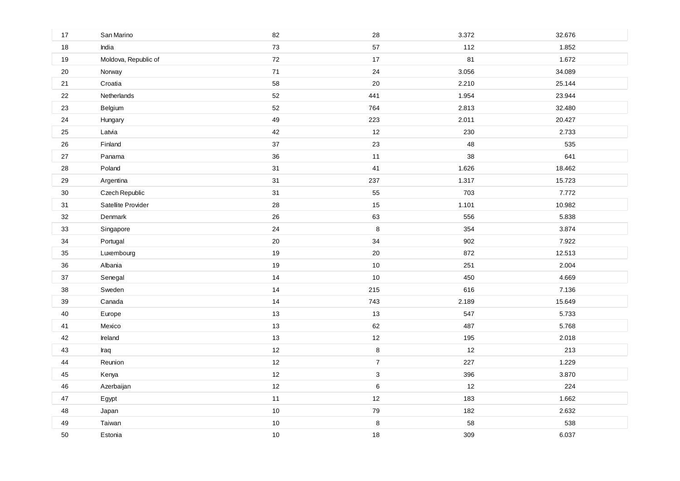| 17     | San Marino           | 82     | 28             | 3.372 | 32.676 |
|--------|----------------------|--------|----------------|-------|--------|
| 18     | India                | 73     | 57             | 112   | 1.852  |
| $19$   | Moldova, Republic of | 72     | $17$           | 81    | 1.672  |
| 20     | Norway               | 71     | 24             | 3.056 | 34.089 |
| 21     | Croatia              | 58     | $20\,$         | 2.210 | 25.144 |
| 22     | Netherlands          | 52     | 441            | 1.954 | 23.944 |
| 23     | Belgium              | 52     | 764            | 2.813 | 32.480 |
| 24     | Hungary              | 49     | 223            | 2.011 | 20.427 |
| 25     | Latvia               | 42     | $12$           | 230   | 2.733  |
| 26     | Finland              | $37\,$ | 23             | 48    | 535    |
| 27     | Panama               | 36     | 11             | 38    | 641    |
| 28     | Poland               | 31     | 41             | 1.626 | 18.462 |
| 29     | Argentina            | 31     | 237            | 1.317 | 15.723 |
| $30\,$ | Czech Republic       | 31     | 55             | 703   | 7.772  |
| 31     | Satellite Provider   | 28     | 15             | 1.101 | 10.982 |
| 32     | Denmark              | 26     | 63             | 556   | 5.838  |
| 33     | Singapore            | 24     | $\bf 8$        | 354   | 3.874  |
| 34     | Portugal             | 20     | 34             | 902   | 7.922  |
| 35     | Luxembourg           | 19     | 20             | 872   | 12.513 |
| 36     | Albania              | 19     | 10             | 251   | 2.004  |
| 37     | Senegal              | 14     | 10             | 450   | 4.669  |
| $38\,$ | Sweden               | 14     | 215            | 616   | 7.136  |
| 39     | Canada               | 14     | 743            | 2.189 | 15.649 |
| 40     | Europe               | 13     | 13             | 547   | 5.733  |
| 41     | Mexico               | 13     | 62             | 487   | 5.768  |
| 42     | Ireland              | 13     | 12             | 195   | 2.018  |
| 43     | Iraq                 | 12     | 8              | 12    | 213    |
| 44     | Reunion              | 12     | $\overline{7}$ | 227   | 1.229  |
| 45     | Kenya                | 12     | $\mathbf{3}$   | 396   | 3.870  |
| 46     | Azerbaijan           | 12     | $\,6\,$        | 12    | 224    |
| 47     | Egypt                | 11     | 12             | 183   | 1.662  |
| 48     | Japan                | 10     | 79             | 182   | 2.632  |
| 49     | Taiwan               | 10     | 8              | 58    | 538    |
| 50     | Estonia              | 10     | 18             | 309   | 6.037  |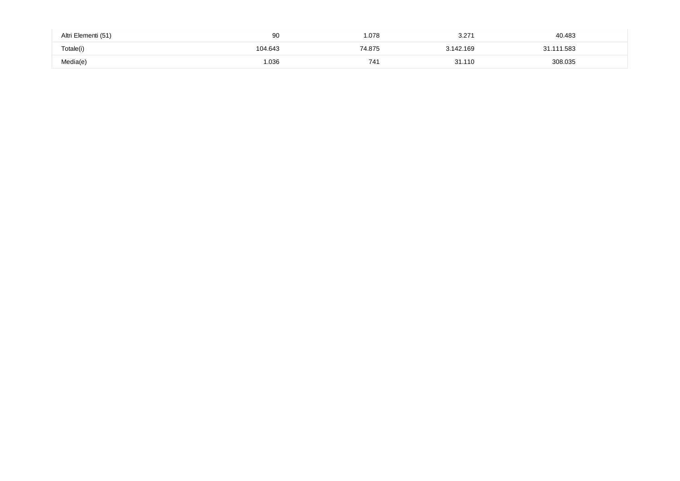| Altri Elementi (51) | 90     | .078   | $\sim$ $\sim$ $\sim$<br>ا ے.ب | 40.483  |
|---------------------|--------|--------|-------------------------------|---------|
| Totale(i)           | 04.643 | 74.875 | 3.142.169                     | 11.583  |
| Media(e)            | 1.036  | 741    | 31.110                        | 308.035 |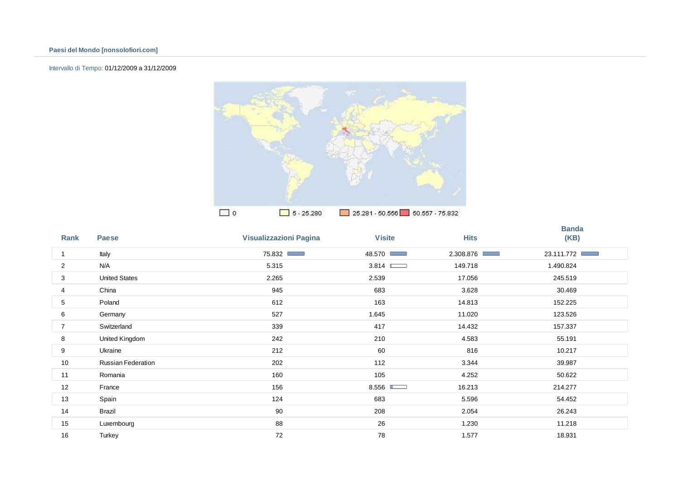## Intervallo di Tempo: 01/12/2009 a 31/12/2009



| Rank           | <b>Paese</b>         | <b>Visualizzazioni Pagina</b> | <b>Visite</b>                                    | <b>Hits</b> | <b>Banda</b><br>(KB) |
|----------------|----------------------|-------------------------------|--------------------------------------------------|-------------|----------------------|
| 1              | Italy                | 75.832                        | 48.570<br><b>COLOR</b>                           | 2.308.876   | 23.111.772           |
| 2              | N/A                  | 5.315                         | 3.814                                            | 149.718     | 1.490.824            |
| 3              | <b>United States</b> | 2.265                         | 2.539                                            | 17.056      | 245.519              |
| 4              | China                | 945                           | 683                                              | 3.628       | 30.469               |
| 5              | Poland               | 612                           | 163                                              | 14.813      | 152.225              |
| 6              | Germany              | 527                           | 1.645                                            | 11.020      | 123.526              |
| $\overline{7}$ | Switzerland          | 339                           | 417                                              | 14.432      | 157.337              |
| 8              | United Kingdom       | 242                           | 210                                              | 4.583       | 55.191               |
| 9              | Ukraine              | 212                           | 60                                               | 816         | 10.217               |
| 10             | Russian Federation   | 202                           | 112                                              | 3.344       | 39.987               |
| 11             | Romania              | 160                           | 105                                              | 4.252       | 50.622               |
| 12             | France               | 156                           | 8.556 $\blacksquare$<br>$\overline{\phantom{0}}$ | 16.213      | 214.277              |
| 13             | Spain                | 124                           | 683                                              | 5.596       | 54.452               |
| 14             | Brazil               | 90                            | 208                                              | 2.054       | 26.243               |
| 15             | Luxembourg           | 88                            | 26                                               | 1.230       | 11.218               |
| 16             | Turkey               | 72                            | 78                                               | 1.577       | 18.931               |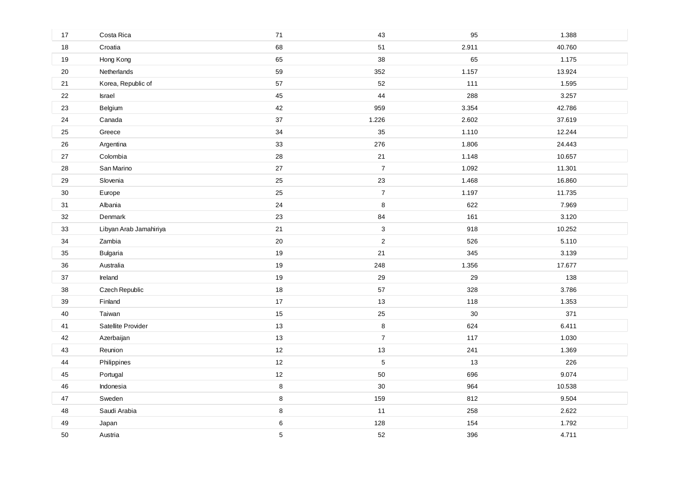| 17     | Costa Rica             | $71$ | 43               | 95     | 1.388  |
|--------|------------------------|------|------------------|--------|--------|
| 18     | Croatia                | 68   | 51               | 2.911  | 40.760 |
| $19$   | Hong Kong              | 65   | 38               | 65     | 1.175  |
| 20     | Netherlands            | 59   | 352              | 1.157  | 13.924 |
| 21     | Korea, Republic of     | 57   | 52               | 111    | 1.595  |
| 22     | Israel                 | 45   | 44               | 288    | 3.257  |
| 23     | Belgium                | 42   | 959              | 3.354  | 42.786 |
| 24     | Canada                 | 37   | 1.226            | 2.602  | 37.619 |
| 25     | Greece                 | 34   | 35               | 1.110  | 12.244 |
| 26     | Argentina              | 33   | 276              | 1.806  | 24.443 |
| 27     | Colombia               | 28   | 21               | 1.148  | 10.657 |
| 28     | San Marino             | 27   | $\boldsymbol{7}$ | 1.092  | 11.301 |
| 29     | Slovenia               | 25   | 23               | 1.468  | 16.860 |
| $30\,$ | Europe                 | 25   | $\boldsymbol{7}$ | 1.197  | 11.735 |
| 31     | Albania                | 24   | 8                | 622    | 7.969  |
| 32     | Denmark                | 23   | 84               | 161    | 3.120  |
| 33     | Libyan Arab Jamahiriya | 21   | 3                | 918    | 10.252 |
| 34     | Zambia                 | 20   | $\overline{c}$   | 526    | 5.110  |
| 35     | <b>Bulgaria</b>        | 19   | 21               | 345    | 3.139  |
| 36     | Australia              | 19   | 248              | 1.356  | 17.677 |
| $37\,$ | Ireland                | 19   | 29               | 29     | 138    |
| 38     | Czech Republic         | 18   | 57               | 328    | 3.786  |
| $39\,$ | Finland                | 17   | 13               | 118    | 1.353  |
| 40     | Taiwan                 | 15   | 25               | $30\,$ | 371    |
| 41     | Satellite Provider     | 13   | 8                | 624    | 6.411  |
| 42     | Azerbaijan             | 13   | $\overline{7}$   | 117    | 1.030  |
| 43     | Reunion                | 12   | 13               | 241    | 1.369  |
| 44     | Philippines            | 12   | 5                | 13     | 226    |
| 45     | Portugal               | 12   | 50               | 696    | 9.074  |
| 46     | Indonesia              | 8    | 30               | 964    | 10.538 |
| 47     | Sweden                 | 8    | 159              | 812    | 9.504  |
| 48     | Saudi Arabia           | 8    | 11               | 258    | 2.622  |
| 49     | Japan                  | 6    | 128              | 154    | 1.792  |
| 50     | Austria                | 5    | 52               | 396    | 4.711  |